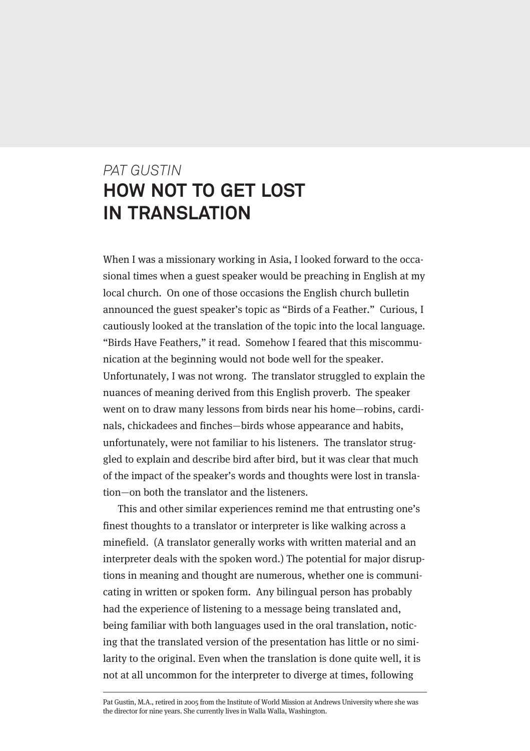# *PAT GUSTIN* **HOW NOT TO GET LOST IN TRANSLATION**

When I was a missionary working in Asia, I looked forward to the occasional times when a guest speaker would be preaching in English at my local church. On one of those occasions the English church bulletin announced the guest speaker's topic as "Birds of a Feather." Curious, I cautiously looked at the translation of the topic into the local language. "Birds Have Feathers," it read. Somehow I feared that this miscommunication at the beginning would not bode well for the speaker. Unfortunately, I was not wrong. The translator struggled to explain the nuances of meaning derived from this English proverb. The speaker went on to draw many lessons from birds near his home—robins, cardinals, chickadees and finches—birds whose appearance and habits, unfortunately, were not familiar to his listeners. The translator struggled to explain and describe bird after bird, but it was clear that much of the impact of the speaker's words and thoughts were lost in translation—on both the translator and the listeners.

This and other similar experiences remind me that entrusting one's finest thoughts to a translator or interpreter is like walking across a minefield. (A translator generally works with written material and an interpreter deals with the spoken word.) The potential for major disruptions in meaning and thought are numerous, whether one is communicating in written or spoken form. Any bilingual person has probably had the experience of listening to a message being translated and, being familiar with both languages used in the oral translation, noticing that the translated version of the presentation has little or no similarity to the original. Even when the translation is done quite well, it is not at all uncommon for the interpreter to diverge at times, following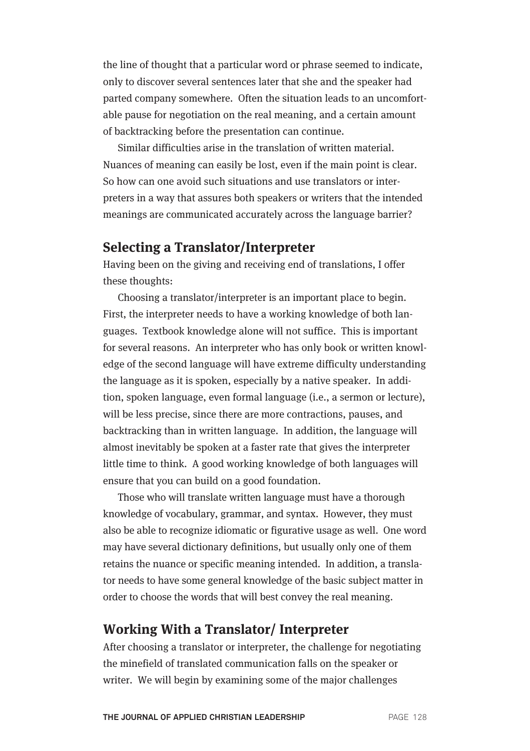the line of thought that a particular word or phrase seemed to indicate, only to discover several sentences later that she and the speaker had parted company somewhere. Often the situation leads to an uncomfortable pause for negotiation on the real meaning, and a certain amount of backtracking before the presentation can continue.

Similar difficulties arise in the translation of written material. Nuances of meaning can easily be lost, even if the main point is clear. So how can one avoid such situations and use translators or interpreters in a way that assures both speakers or writers that the intended meanings are communicated accurately across the language barrier?

#### **Selecting a Translator/Interpreter**

Having been on the giving and receiving end of translations, I offer these thoughts:

Choosing a translator/interpreter is an important place to begin. First, the interpreter needs to have a working knowledge of both languages. Textbook knowledge alone will not suffice. This is important for several reasons. An interpreter who has only book or written knowledge of the second language will have extreme difficulty understanding the language as it is spoken, especially by a native speaker. In addition, spoken language, even formal language (i.e., a sermon or lecture), will be less precise, since there are more contractions, pauses, and backtracking than in written language. In addition, the language will almost inevitably be spoken at a faster rate that gives the interpreter little time to think. A good working knowledge of both languages will ensure that you can build on a good foundation.

Those who will translate written language must have a thorough knowledge of vocabulary, grammar, and syntax. However, they must also be able to recognize idiomatic or figurative usage as well. One word may have several dictionary definitions, but usually only one of them retains the nuance or specific meaning intended. In addition, a translator needs to have some general knowledge of the basic subject matter in order to choose the words that will best convey the real meaning.

## **Working With a Translator/ Interpreter**

After choosing a translator or interpreter, the challenge for negotiating the minefield of translated communication falls on the speaker or writer. We will begin by examining some of the major challenges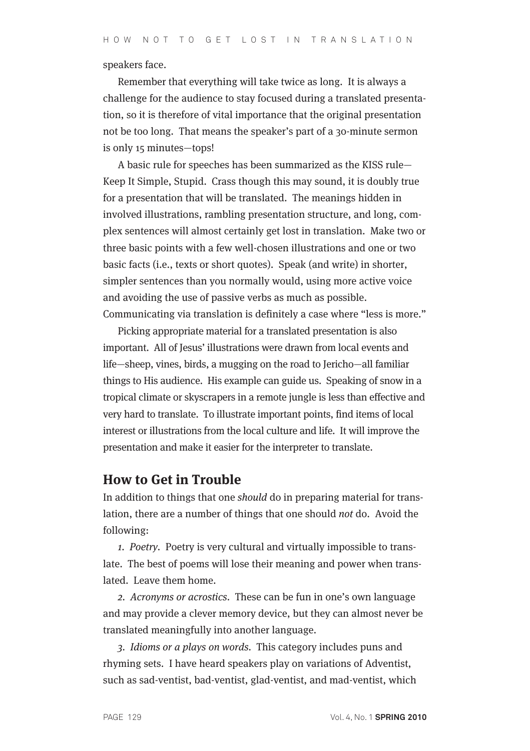speakers face.

Remember that everything will take twice as long. It is always a challenge for the audience to stay focused during a translated presentation, so it is therefore of vital importance that the original presentation not be too long. That means the speaker's part of a 30-minute sermon is only 15 minutes—tops!

A basic rule for speeches has been summarized as the KISS rule— Keep It Simple, Stupid. Crass though this may sound, it is doubly true for a presentation that will be translated. The meanings hidden in involved illustrations, rambling presentation structure, and long, complex sentences will almost certainly get lost in translation. Make two or three basic points with a few well-chosen illustrations and one or two basic facts (i.e., texts or short quotes). Speak (and write) in shorter, simpler sentences than you normally would, using more active voice and avoiding the use of passive verbs as much as possible. Communicating via translation is definitely a case where "less is more."

Picking appropriate material for a translated presentation is also important. All of Jesus' illustrations were drawn from local events and life—sheep, vines, birds, a mugging on the road to Jericho—all familiar things to His audience. His example can guide us. Speaking of snow in a tropical climate or skyscrapers in a remote jungle is less than effective and very hard to translate. To illustrate important points, find items of local interest or illustrations from the local culture and life. It will improve the presentation and make it easier for the interpreter to translate.

#### **How to Get in Trouble**

In addition to things that one should do in preparing material for translation, there are a number of things that one should not do. Avoid the following:

1. Poetry. Poetry is very cultural and virtually impossible to translate. The best of poems will lose their meaning and power when translated. Leave them home.

2. Acronyms or acrostics. These can be fun in one's own language and may provide a clever memory device, but they can almost never be translated meaningfully into another language.

3. Idioms or a plays on words. This category includes puns and rhyming sets. I have heard speakers play on variations of Adventist, such as sad-ventist, bad-ventist, glad-ventist, and mad-ventist, which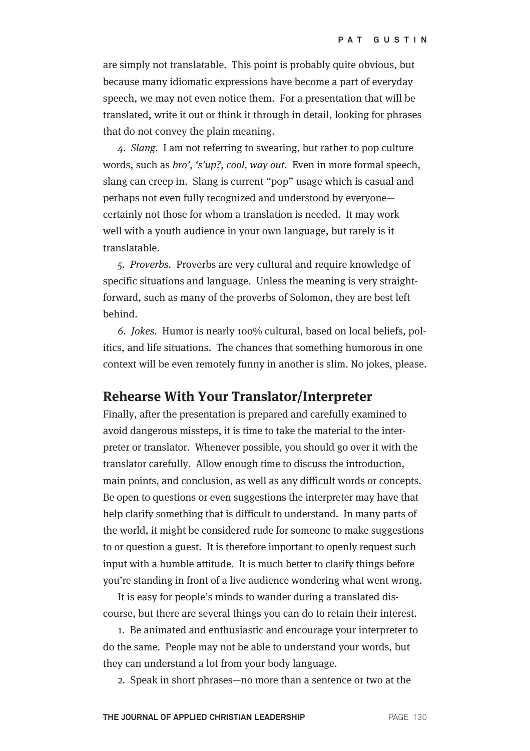are simply not translatable. This point is probably quite obvious, but because many idiomatic expressions have become a part of everyday speech, we may not even notice them. For a presentation that will be translated, write it out or think it through in detail, looking for phrases that do not convey the plain meaning.

4. Slang. I am not referring to swearing, but rather to pop culture words, such as bro', 's'up?, cool, way out. Even in more formal speech, slang can creep in. Slang is current "pop" usage which is casual and perhaps not even fully recognized and understood by everyone certainly not those for whom a translation is needed. It may work well with a youth audience in your own language, but rarely is it translatable.

5. Proverbs. Proverbs are very cultural and require knowledge of specific situations and language. Unless the meaning is very straightforward, such as many of the proverbs of Solomon, they are best left behind.

6. Jokes. Humor is nearly 100% cultural, based on local beliefs, politics, and life situations. The chances that something humorous in one context will be even remotely funny in another is slim. No jokes, please.

## **Rehearse With Your Translator/Interpreter**

Finally, after the presentation is prepared and carefully examined to avoid dangerous missteps, it is time to take the material to the interpreter or translator. Whenever possible, you should go over it with the translator carefully. Allow enough time to discuss the introduction, main points, and conclusion, as well as any difficult words or concepts. Be open to questions or even suggestions the interpreter may have that help clarify something that is difficult to understand. In many parts of the world, it might be considered rude for someone to make suggestions to or question a guest. It is therefore important to openly request such input with a humble attitude. It is much better to clarify things before you're standing in front of a live audience wondering what went wrong.

It is easy for people's minds to wander during a translated discourse, but there are several things you can do to retain their interest.

1. Be animated and enthusiastic and encourage your interpreter to do the same. People may not be able to understand your words, but they can understand a lot from your body language.

2. Speak in short phrases—no more than a sentence or two at the